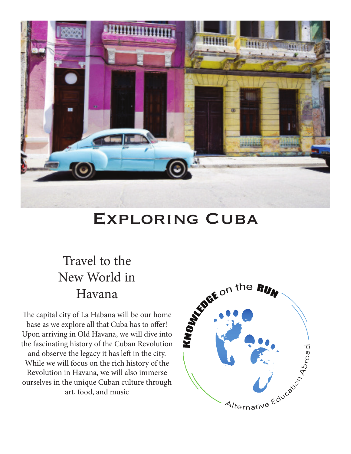

## Exploring Cuba

## Travel to the New World in Havana

base as we explore all that Cuba has to offer! Upon arriving in Old Havana, we will dive into the fascinating history of the Cuban Revolution and observe the legacy it has left in the city. While we will focus on the rich history of the Revolution in Havana, we will also immerse ourselves in the unique Cuban culture through art, food, and music